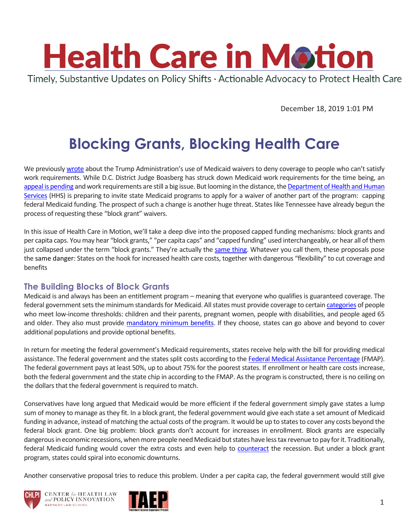

December 18, 2019 1:01 PM

# **Blocking Grants, Blocking Health Care**

We previously [wrote](https://www.chlpi.org/wp-content/uploads/2013/12/HCIM_05_07_2018.pdf) about the Trump Administration's use of Medicaid waivers to deny coverage to people who can't satisfy work requirements. While D.C. District Judge Boasberg has struck down Medicaid work requirements for the time being, an [appeal is pending](https://www.healthaffairs.org/do/10.1377/hblog20191025.796704/full/) and work requirements are still a big issue. But looming in the distance, th[e Department of Health and Human](https://www.hhs.gov/)  [Services](https://www.hhs.gov/) (HHS) is preparing to invite state Medicaid programs to apply for a waiver of another part of the program: capping federal Medicaid funding. The prospect of such a change is another huge threat. States like Tennessee have already begun the process of requesting these "block grant" waivers.

In this issue of Health Care in Motion, we'll take a deep dive into the proposed capped funding mechanisms: block grants and per capita caps. You may hear "block grants," "per capita caps" and "capped funding" used interchangeably, or hear all of them just collapsed under the term "block grants." They're actually the [same thing.](https://imgflip.com/i/3g95ka) Whatever you call them, these proposals pose the same danger: States on the hook for increased health care costs, together with dangerous "flexibility" to cut coverage and benefits

#### **The Building Blocks of Block Grants**

Medicaid is and always has been an entitlement program – meaning that everyone who qualifies is guaranteed coverage. The federal government sets the minimum standards for Medicaid. All states must provide coverage to certai[n categories](https://www.medicaid.gov/medicaid/eligibility/index.html) of people who meet low-income thresholds: children and their parents, pregnant women, people with disabilities, and people aged 65 and older. They also must provide [mandatory minimum benefits.](https://www.medicaid.gov/medicaid/benefits/list-of-benefits/index.html) If they choose, states can go above and beyond to cover additional populations and provide optional benefits.

In return for meeting the federal government's Medicaid requirements, states receive help with the bill for providing medical assistance. The federal government and the states split costs according to the [Federal Medical Assistance Percentage](https://www.kff.org/medicaid/state-indicator/federal-matching-rate-and-multiplier/) (FMAP). The federal government pays at least 50%, up to about 75% for the poorest states. If enrollment or health care costs increase, both the federal government and the state chip in according to the FMAP. As the program is constructed, there is no ceiling on the dollars that the federal government is required to match.

Conservatives have long argued that Medicaid would be more efficient if the federal government simply gave states a lump sum of money to manage as they fit. In a block grant, the federal government would give each state a set amount of Medicaid funding in advance, instead of matching the actual costs of the program. It would be up to states to cover any costs beyond the federal block grant. One big problem: block grants don't account for increases in enrollment. Block grants are especially dangerous in economic recessions, when more people need Medicaid but states have less tax revenue to pay for it. Traditionally, federal Medicaid funding would cover the extra costs and even help to [counteract](https://www.cbo.gov/budget-options/2018/54726) the recession. But under a block grant program, states could spiral into economic downturns.

Another conservative proposal tries to reduce this problem. Under a per capita cap, the federal government would still give





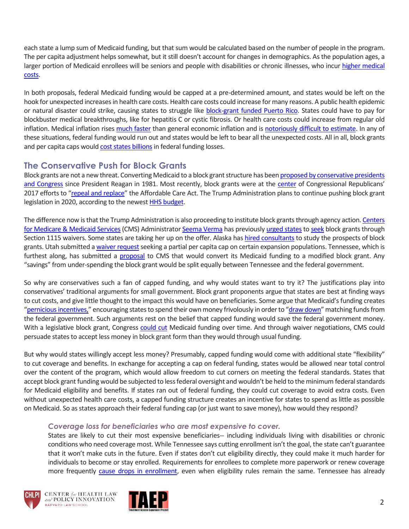each state a lump sum of Medicaid funding, but that sum would be calculated based on the number of people in the program. The per capita adjustment helps somewhat, but it still doesn't account for changes in demographics. As the population ages, a larger portion of Medicaid enrollees will be seniors and people with disabilities or chronic illnesses, who incur [higher medical](https://www.cbpp.org/research/health/medicaid-per-capita-cap-would-shift-costs-and-risks-to-states-and-harm-millions-of)  [costs.](https://www.cbpp.org/research/health/medicaid-per-capita-cap-would-shift-costs-and-risks-to-states-and-harm-millions-of)

In both proposals, federal Medicaid funding would be capped at a pre-determined amount, and states would be left on the hook for unexpected increases in health care costs. Health care costs could increase for many reasons. A public health epidemic or natural disaster could strike, causing states to struggle like [block-grant funded Puerto Rico.](https://www.healthaffairs.org/do/10.1377/hblog20171022.984682/full/) States could have to pay for blockbuster medical breakthroughs, like for hepatitis C or cystic fibrosis. Or health care costs could increase from regular old inflation. Medical inflation rises [much faster](https://www.healthsystemtracker.org/chart-collection/u-s-spending-healthcare-changed-time/) than general economic inflation and is [notoriously difficult to estimate.](https://www.cbpp.org/research/medicaid-block-grant-would-shift-financial-risks-and-costs-to-states) In any of these situations, federal funding would run out and states would be left to bear all the unexpected costs. All in all, block grants and per capita caps woul[d cost states billions](https://avalere.com/press-releases/capped-funding-policies-could-reduce-funding-for-children-covered-by-medicaid) in federal funding losses.

## **The Conservative Push for Block Grants**

Block grants are not a new threat. Converting Medicaid to a block grant structure has been proposed by conservative presidents [and Congress](https://www.ncbi.nlm.nih.gov/pmc/articles/PMC2690386/) since President Reagan in 1981. Most recently, block grants were at the [center](https://khn.org/news/block-grants-medicaid-faq/) of Congressional Republicans' 2017 efforts to "[repeal and replace](https://www.kff.org/interactive/proposals-to-replace-the-affordable-care-act/)" the Affordable Care Act. The Trump Administration plans to continue pushing block grant legislation in 2020, according to the newest **HHS budget**.

The difference now is that the Trump Administration is also proceeding to institute block grants through agency action[. Centers](https://www.cms.gov/)  [for Medicare & Medicaid Services](https://www.cms.gov/) (CMS) Administrator [Seema Verma](https://www.cms.gov/About-CMS/Leadership/index.html) has previously [urged states](https://thehill.com/policy/healthcare/437369-trump-administration-urging-alaska-to-apply-for-medicaid-block-grant) t[o seek](https://www.mcknights.com/news/citing-eagerness-from-states-cms-announces-plans-to-issue-guidance-on-medicaid-block-grants/) block grants through Section 1115 waivers. Some states are taking her up on the offer. Alaska ha[s hired consultants](https://www.seattletimes.com/seattle-news/northwest/alaska-awards-contract-to-study-medicaid-block-grant-system/) to study the prospects of block grants. Utah submitted a waiver request seeking a partial per capita cap on certain expansion populations. Tennessee, which is furthest along, has submitted a [proposal](https://www.medicaid.gov/Medicaid-CHIP-Program-Information/By-Topics/Waivers/1115/downloads/tn/tn-tenncare-ii-pa10.pdf) to CMS that would convert its Medicaid funding to a modified block grant. Any "savings" from under-spending the block grant would be split equally between Tennessee and the federal government.

So why are conservatives such a fan of capped funding, and why would states want to try it? The justifications play into conservatives' traditional arguments for small government. Block grant proponents argue that states are best at finding ways to cut costs, and give little thought to the impact this would have on beneficiaries. Some argue that Medicaid's funding creates "[pernicious incentives,](https://www.forbes.com/sites/sallypipes/2012/04/02/block-grants-to-states-give-medicaid-new-hope/#6a3c03995f05)" encouraging states to spend their own money frivolously in order to "[draw down](https://www.forbes.com/sites/realspin/2017/07/18/the-case-for-medicaid-block-grants/#53bdb1933ddb)" matching funds from the federal government. Such arguments rest on the belief that capped funding would save the federal government money. With a legislative block grant, Congress [could cut](https://www.nytimes.com/2017/02/06/upshot/how-would-republican-plans-for-medicaid-block-grants-actually-work.html) Medicaid funding over time. And through waiver negotiations, CMS could persuade states to accept less money in block grant form than they would through usual funding.

But why would states willingly accept less money? Presumably, capped funding would come with additional state "flexibility" to cut coverage and benefits. In exchange for accepting a cap on federal funding, states would be allowed near total control over the content of the program, which would allow freedom to cut corners on meeting the federal standards. States that accept block grant funding would be subjected to less federal oversight and wouldn't be held to the minimum federal standards for Medicaid eligibility and benefits. If states ran out of federal funding, they could cut coverage to avoid extra costs. Even without unexpected health care costs, a capped funding structure creates an incentive for states to spend as little as possible on Medicaid. So as states approach their federal funding cap (or just want to save money), how would they respond?

#### *Coverage loss for beneficiaries who are most expensive to cover.*

States are likely to cut their most expensive beneficiaries-- including individuals living with disabilities or chronic conditions who need coverage most. While Tennessee says cutting enrollment isn't the goal, the state can't guarantee that it won't make cuts in the future. Even if states don't cut eligibility directly, they could make it much harder for individuals to become or stay enrolled. Requirements for enrollees to complete more paperwork or renew coverage more frequently [cause drops in enrollment,](https://www.kff.org/medicaid/report/medicaid-and-children-overcoming-barriers-to-enrollment/) even when eligibility rules remain the same. Tennessee has already



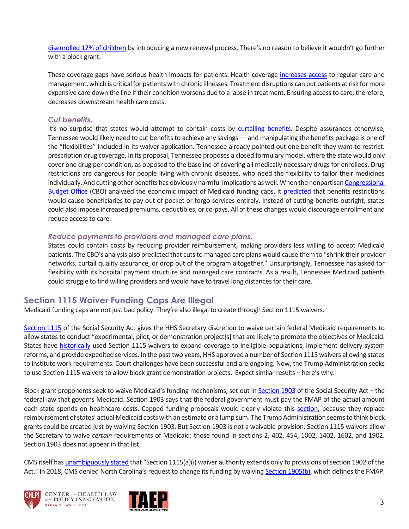[disenrolled 12% of children](https://www.tennessean.com/story/news/health/2019/04/02/tennessee-tenncare-coverkids-medicaid-erased-health-care-coverage-for-children/3245116002/) by introducing a new renewal process. There's no reason to believe it wouldn't go further with a block grant.

These coverage gaps have serious health impacts for patients. Health coverage [increases access](https://www.nejm.org/doi/full/10.1056/NEJMsb1706645?url_ver=Z39.88-2003&rfr_id=ori%3Arid%3Acrossref.org&rfr_dat=cr_pub%3Dpubmed) to regular care and management, which is critical for patients with chronic illnesses. Treatment disruptions can put patients at risk for more expensive care down the line if their condition worsens due to a lapse in treatment. Ensuring access to care, therefore, decreases downstream health care costs.

#### *Cut benefits.*

It's no surprise that states would attempt to contain costs by [curtailing benefits.](https://www.healthaffairs.org/do/10.1377/hblog20190722.62519/full/) Despite assurances otherwise, Tennessee would likely need to cut benefits to achieve any savings — and manipulating the benefits package is one of the "flexibilities" included in its waiver application. Tennessee already pointed out one benefit they want to restrict: prescription drug coverage. In its proposal, Tennessee proposes a closed formulary model, where the state would only cover one drug per condition, as opposed to the baseline of covering all medically necessary drugs for enrollees. Drug restrictions are dangerous for people living with chronic diseases, who need the flexibility to tailor their medicines individually. And cutting other benefits has obviously harmful implications as well. When the nonpartisa[n Congressional](https://www.cbo.gov/)  [Budget Office](https://www.cbo.gov/) (CBO) analyzed the economic impact of Medicaid funding caps, it [predicted](https://www.cbo.gov/budget-options/2018/54726) that benefits restrictions would cause beneficiaries to pay out of pocket or forgo services entirely. Instead of cutting benefits outright, states could also impose increased premiums, deductibles, or co-pays. All of these changes would discourage enrollment and reduce access to care.

#### *Reduce payments to providers and managed care plans.*

States could contain costs by reducing provider reimbursement, making providers less willing to accept Medicaid patients. The CBO's analysis also predicted that cuts to managed care plans would cause them to "shrink their provider networks, curtail quality assurance, or drop out of the program altogether." Unsurprisingly, Tennessee has asked for flexibility with its hospital payment structure and managed care contracts. As a result, Tennessee Medicaid patients could struggle to find willing providers and would have to travel long distances for their care.

## **Section 1115 Waiver Funding Caps Are Illegal**

Medicaid funding caps are not just bad policy. They're also illegal to create through Section 1115 waivers.

[Section 1115](https://www.ssa.gov/OP_Home/ssact/title11/1115.htm) of the Social Security Act gives the HHS Secretary discretion to waive certain federal Medicaid requirements to allow states to conduct "experimental, pilot, or demonstration project[s] that are likely to promote the objectives of Medicaid. States have [historically](https://www.google.com/url?sa=t&rct=j&q=&esrc=s&source=web&cd=12&ved=2ahUKEwiYkbjGjMLlAhWOTd8KHff1C8AQFjALegQIBxAB&url=https%3A%2F%2Fwww.aafp.org%2Fdam%2FAAFP%2Fdocuments%2Fadvocacy%2Fcoverage%2Fmedicaid%2FBKG-Section1115Waivers.pdf&usg=AOvVaw3eXMiBntxzi5MfgAB2Or7u) used Section 1115 waivers to expand coverage to ineligible populations, implement delivery system reforms, and provide expedited services. In the past two years, HHS approved a number of Section 1115 waivers allowing states to institute work requirements. Court challenges have been successful and are ongoing. Now, the Trump Administration seeks to use Section 1115 waivers to allow block grant demonstration projects. Expect similar results – here's why.

Block grant proponents seek to waive Medicaid's funding mechanisms, set out in [Section 1903](https://www.ssa.gov/OP_Home/ssact/title19/1903.htm) of the Social Security Act – the federal law that governs Medicaid. Section 1903 says that the federal government must pay the FMAP of the actual amount each state spends on healthcare costs. Capped funding proposals would clearly violate this [section,](https://www.healthaffairs.org/do/10.1377/hblog20191025.796704/full/) because they replace reimbursement of states' actual Medicaid costs with an estimate or a lump sum. The Trump Administration seems to think block grants could be created just by waiving Section 1903. But Section 1903 is not a waivable provision. Section 1115 waivers allow the Secretary to waive *certain* requirements of Medicaid: those found in sections 2, 402, 454, 1002, 1402, 1602, and 1902. Section 1903 does not appear in that list.

CMS itself has [unambiguously stated](https://www.medicaid.gov/Medicaid-CHIP-Program-Information/By-Topics/Waivers/1115/downloads/nc/Medicaid-Reform/nc-medicaid-reform-demo-demo-appvl-20181019.pdf) that "Section 1115(a)(i) waiver authority extends only to provisions of section 1902 of the Act." In 2018, CMS denied North Carolina's request to change its funding by waiving [Section 1905\(b\),](https://www.ssa.gov/OP_Home/ssact/title19/1905.htm) which defines the FMAP.